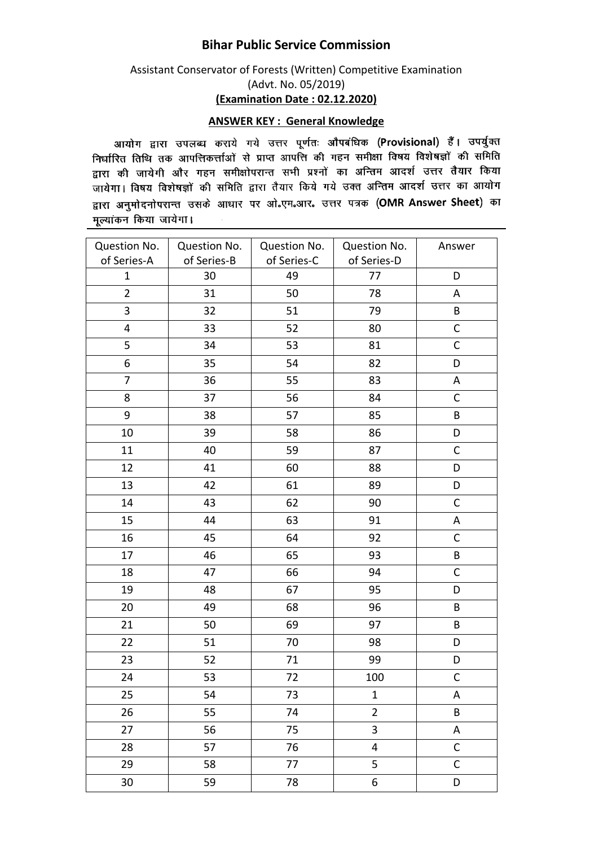## **Bihar Public Service Commission**

## Assistant Conservator of Forests (Written) Competitive Examination (Advt. No. 05/2019) **(Examination Date : 02.12.2020)**

## **ANSWER KEY : General Knowledge**

आयोग द्वारा उपलब्ध कराये गये उत्तर पूर्णतः औपबंधिक (Provisional) हैं। उपर्युक्त जायान द्वारा उपराध्य पराय गया उसके हुसके आ सम्मान (स्टेस्टेस्टेस्ट) र मानवाड़ी की समिति सम्बद्धाः स्तानं से जानासकसानां से आसे जाता कि उस सम्मा स्वरूप के लगा है।<br>द्वारा की जायेगी और गहन समीक्षोपरान्त सभी प्रश्नों का अन्तिम आदर्श उत्तर तैयार किया जायेगा। विषय विशेषज्ञों की समिति द्वारा तैयार किये गये उक्त अन्तिम आदर्श उत्तर का आयोग द्वारा अनुमोदनोपरान्त उसके आधार पर ओ.एम.आर. उत्तर पत्रक (OMR Answer Sheet) का मूल्यांकन किया जायेगा।  $\sim$ 

| Question No.<br>of Series-A | Question No.<br>of Series-B | Question No.<br>of Series-C | Question No.<br>of Series-D | Answer       |
|-----------------------------|-----------------------------|-----------------------------|-----------------------------|--------------|
| 1                           | 30                          | 49                          | 77                          | D            |
| $\overline{2}$              | 31                          | 50                          | 78                          | A            |
| 3                           | 32                          | 51                          | 79                          | $\sf B$      |
| $\overline{\mathbf{4}}$     | 33                          | 52                          | 80                          | $\mathsf C$  |
| 5                           | 34                          | 53                          | 81                          | $\mathsf{C}$ |
| 6                           | 35                          | 54                          | 82                          | D            |
| $\overline{7}$              | 36                          | 55                          | 83                          | A            |
| 8                           | 37                          | 56                          | 84                          | $\mathsf C$  |
| 9                           | 38                          | 57                          | 85                          | B            |
| 10                          | 39                          | 58                          | 86                          | D            |
| 11                          | 40                          | 59                          | 87                          | $\mathsf C$  |
| 12                          | 41                          | 60                          | 88                          | D            |
| 13                          | 42                          | 61                          | 89                          | D            |
| 14                          | 43                          | 62                          | 90                          | $\mathsf C$  |
| 15                          | 44                          | 63                          | 91                          | Α            |
| 16                          | 45                          | 64                          | 92                          | C            |
| 17                          | 46                          | 65                          | 93                          | $\sf B$      |
| 18                          | 47                          | 66                          | 94                          | $\mathsf{C}$ |
| 19                          | 48                          | 67                          | 95                          | D            |
| 20                          | 49                          | 68                          | 96                          | B            |
| 21                          | 50                          | 69                          | 97                          | B            |
| 22                          | 51                          | 70                          | 98                          | D            |
| 23                          | 52                          | 71                          | 99                          | D            |
| 24                          | 53                          | 72                          | 100                         | $\mathsf C$  |
| 25                          | 54                          | 73                          | $\mathbf 1$                 | Α            |
| 26                          | 55                          | 74                          | $\overline{2}$              | $\sf B$      |
| 27                          | 56                          | 75                          | 3                           | A            |
| 28                          | 57                          | 76                          | 4                           | $\mathsf C$  |
| 29                          | 58                          | 77                          | 5                           | $\mathsf C$  |
| 30                          | 59                          | 78                          | 6                           | D            |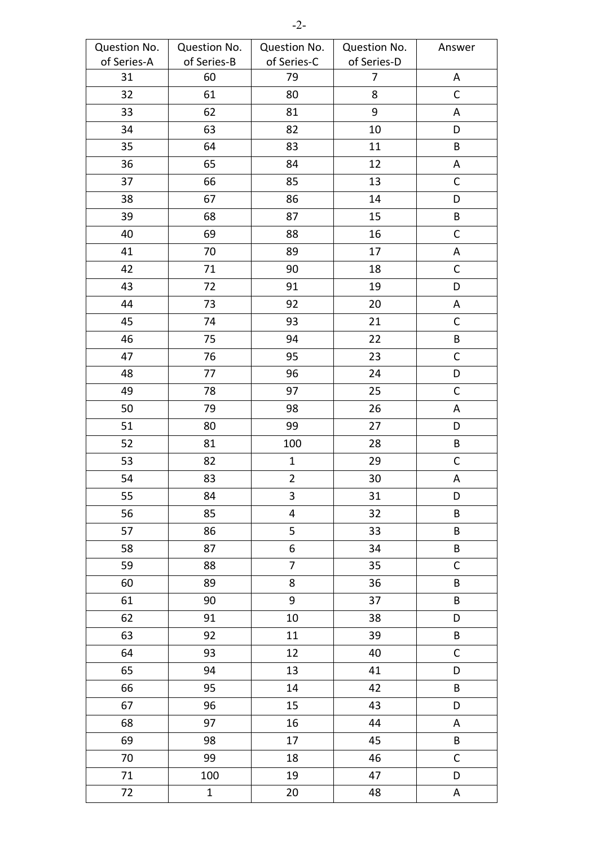| Question No. | Question No. | Question No.            | Question No.   | Answer      |
|--------------|--------------|-------------------------|----------------|-------------|
| of Series-A  | of Series-B  | of Series-C             | of Series-D    |             |
| 31           | 60           | 79                      | $\overline{7}$ | Α           |
| 32           | 61           | 80                      | 8              | C           |
| 33           | 62           | 81                      | 9              | Α           |
| 34           | 63           | 82                      | 10             | D           |
| 35           | 64           | 83                      | 11             | $\sf B$     |
| 36           | 65           | 84                      | 12             | A           |
| 37           | 66           | 85                      | 13             | $\mathsf C$ |
| 38           | 67           | 86                      | 14             | D           |
| 39           | 68           | 87                      | 15             | $\sf B$     |
| 40           | 69           | 88                      | 16             | $\mathsf C$ |
| 41           | 70           | 89                      | 17             | А           |
| 42           | 71           | 90                      | 18             | C           |
| 43           | 72           | 91                      | 19             | D           |
| 44           | 73           | 92                      | 20             | A           |
| 45           | 74           | 93                      | 21             | $\mathsf C$ |
| 46           | 75           | 94                      | 22             | $\sf B$     |
| 47           | 76           | 95                      | 23             | $\mathsf C$ |
| 48           | 77           | 96                      | 24             | D           |
| 49           | 78           | 97                      | 25             | $\mathsf C$ |
| 50           | 79           | 98                      | 26             | Α           |
| 51           | 80           | 99                      | 27             | D           |
| 52           | 81           | 100                     | 28             | $\sf{B}$    |
| 53           | 82           | $\mathbf{1}$            | 29             | $\mathsf C$ |
| 54           | 83           | $\overline{\mathbf{c}}$ | 30             | А           |
| 55           | 84           | 3                       | 31             | D           |
| 56           | 85           | $\overline{\mathbf{4}}$ | 32             | $\sf B$     |
| 57           | 86           | 5                       | 33             | B           |
| 58           | 87           | 6                       | 34             | $\sf{B}$    |
| 59           | 88           | $\overline{7}$          | 35             | $\mathsf C$ |
| 60           | 89           | 8                       | 36             | $\sf B$     |
| 61           | 90           | 9                       | 37             | $\sf B$     |
| 62           | 91           | 10                      | 38             | D           |
| 63           | 92           | 11                      | 39             | B           |
| 64           | 93           | 12                      | 40             | $\mathsf C$ |
| 65           | 94           | 13                      | 41             | D           |
| 66           | 95           | 14                      | 42             | B           |
| 67           | 96           | 15                      | 43             | D           |
| 68           | 97           | 16                      | 44             | A           |
| 69           | 98           | 17                      | 45             | B           |
| 70           | 99           | 18                      | 46             | $\mathsf C$ |
| 71           | 100          | 19                      | 47             | D           |
| 72           | $\mathbf{1}$ | 20                      | 48             | A           |